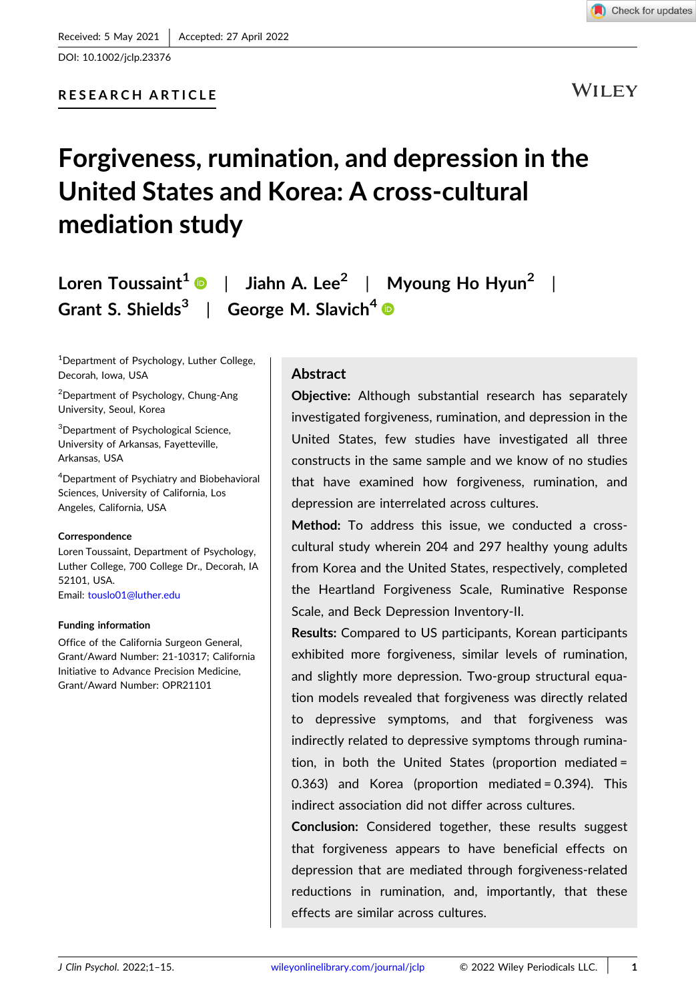

DOI: 10.1002/jclp.23376

WILEY

# Forgiveness, rumination, and depression in the United States and Korea: A cross‐cultural mediation study

Loren Toussaint<sup>[1](http://orcid.org/0000-0001-8876-1848)</sup> | Jiahn A. Lee<sup>2</sup> | Myoung Ho Hyun<sup>2</sup> | Grant S. Shields<sup>3</sup> | George M. Slavich<sup>4</sup>

<sup>1</sup>Department of Psychology, Luther College, Decorah, Iowa, USA

2 Department of Psychology, Chung‐Ang University, Seoul, Korea

<sup>3</sup>Department of Psychological Science, University of Arkansas, Fayetteville, Arkansas, USA

4 Department of Psychiatry and Biobehavioral Sciences, University of California, Los Angeles, California, USA

#### Correspondence

Loren Toussaint, Department of Psychology, Luther College, 700 College Dr., Decorah, IA 52101, USA. Email: [touslo01@luther.edu](mailto:touslo01@luther.edu)

#### Funding information

Office of the California Surgeon General, Grant/Award Number: 21‐10317; California Initiative to Advance Precision Medicine, Grant/Award Number: OPR21101

#### **Abstract**

Objective: Although substantial research has separately investigated forgiveness, rumination, and depression in the United States, few studies have investigated all three constructs in the same sample and we know of no studies that have examined how forgiveness, rumination, and depression are interrelated across cultures.

Method: To address this issue, we conducted a crosscultural study wherein 204 and 297 healthy young adults from Korea and the United States, respectively, completed the Heartland Forgiveness Scale, Ruminative Response Scale, and Beck Depression Inventory‐II.

Results: Compared to US participants, Korean participants exhibited more forgiveness, similar levels of rumination, and slightly more depression. Two‐group structural equation models revealed that forgiveness was directly related to depressive symptoms, and that forgiveness was indirectly related to depressive symptoms through rumination, in both the United States (proportion mediated = 0.363) and Korea (proportion mediated = 0.394). This indirect association did not differ across cultures.

Conclusion: Considered together, these results suggest that forgiveness appears to have beneficial effects on depression that are mediated through forgiveness‐related reductions in rumination, and, importantly, that these effects are similar across cultures.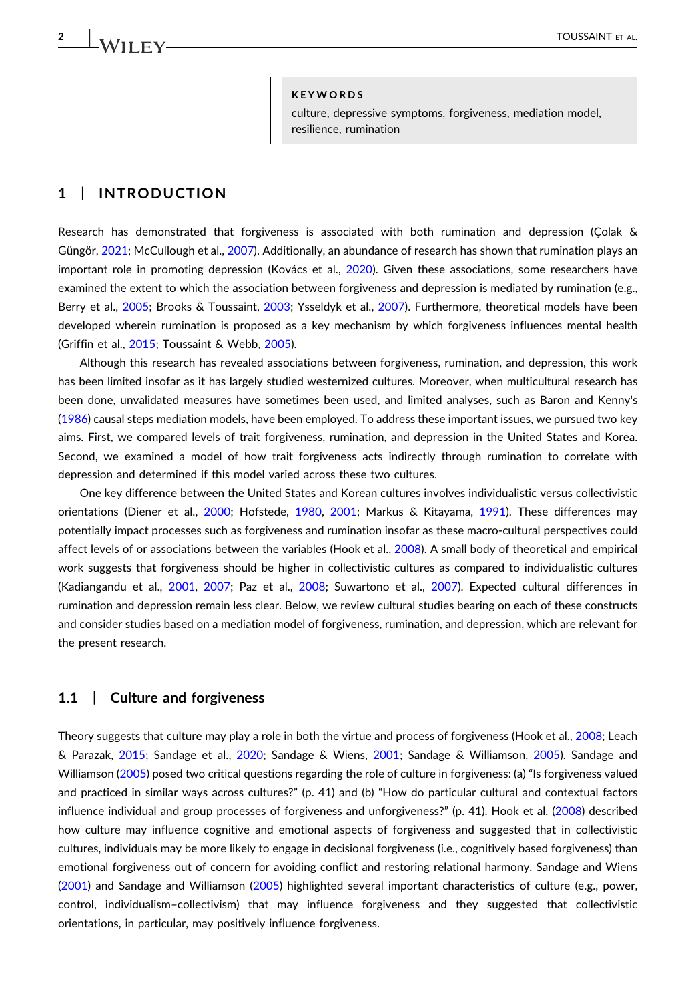$\frac{2}{\sqrt{11}}$   $\sqrt{11}$   $\sqrt{11}$   $\sqrt{11}$   $\sqrt{11}$   $\sqrt{11}$   $\sqrt{11}$   $\sqrt{11}$   $\sqrt{11}$   $\sqrt{11}$   $\sqrt{11}$   $\sqrt{11}$   $\sqrt{11}$   $\sqrt{11}$   $\sqrt{11}$   $\sqrt{11}$   $\sqrt{11}$   $\sqrt{11}$   $\sqrt{11}$   $\sqrt{11}$   $\sqrt{11}$   $\sqrt{11}$   $\sqrt{11}$   $\sqrt{11}$ 

#### **KEYWORDS**

culture, depressive symptoms, forgiveness, mediation model, resilience, rumination

# 1 | INTRODUCTION

Research has demonstrated that forgiveness is associated with both rumination and depression (Çolak & Güngör, [2021](#page-12-0); McCullough et al., [2007\)](#page-13-0). Additionally, an abundance of research has shown that rumination plays an important role in promoting depression (Kovács et al., [2020\)](#page-12-1). Given these associations, some researchers have examined the extent to which the association between forgiveness and depression is mediated by rumination (e.g., Berry et al., [2005;](#page-12-2) Brooks & Toussaint, [2003](#page-12-3); Ysseldyk et al., [2007](#page-14-0)). Furthermore, theoretical models have been developed wherein rumination is proposed as a key mechanism by which forgiveness influences mental health (Griffin et al., [2015;](#page-12-4) Toussaint & Webb, [2005\)](#page-14-1).

Although this research has revealed associations between forgiveness, rumination, and depression, this work has been limited insofar as it has largely studied westernized cultures. Moreover, when multicultural research has been done, unvalidated measures have sometimes been used, and limited analyses, such as Baron and Kenny's ([1986](#page-12-5)) causal steps mediation models, have been employed. To address these important issues, we pursued two key aims. First, we compared levels of trait forgiveness, rumination, and depression in the United States and Korea. Second, we examined a model of how trait forgiveness acts indirectly through rumination to correlate with depression and determined if this model varied across these two cultures.

One key difference between the United States and Korean cultures involves individualistic versus collectivistic orientations (Diener et al., [2000;](#page-12-6) Hofstede, [1980](#page-12-7), [2001;](#page-12-8) Markus & Kitayama, [1991\)](#page-13-1). These differences may potentially impact processes such as forgiveness and rumination insofar as these macro‐cultural perspectives could affect levels of or associations between the variables (Hook et al., [2008](#page-12-9)). A small body of theoretical and empirical work suggests that forgiveness should be higher in collectivistic cultures as compared to individualistic cultures (Kadiangandu et al., [2001,](#page-12-10) [2007](#page-12-11); Paz et al., [2008;](#page-13-2) Suwartono et al., [2007\)](#page-14-2). Expected cultural differences in rumination and depression remain less clear. Below, we review cultural studies bearing on each of these constructs and consider studies based on a mediation model of forgiveness, rumination, and depression, which are relevant for the present research.

#### 1.1 | Culture and forgiveness

Theory suggests that culture may play a role in both the virtue and process of forgiveness (Hook et al., [2008](#page-12-9); Leach & Parazak, [2015](#page-13-3); Sandage et al., [2020](#page-13-4); Sandage & Wiens, [2001](#page-13-5); Sandage & Williamson, [2005](#page-13-6)). Sandage and Williamson ([2005](#page-13-6)) posed two critical questions regarding the role of culture in forgiveness: (a) "Is forgiveness valued and practiced in similar ways across cultures?" (p. 41) and (b) "How do particular cultural and contextual factors influence individual and group processes of forgiveness and unforgiveness?" (p. 41). Hook et al. ([2008](#page-12-9)) described how culture may influence cognitive and emotional aspects of forgiveness and suggested that in collectivistic cultures, individuals may be more likely to engage in decisional forgiveness (i.e., cognitively based forgiveness) than emotional forgiveness out of concern for avoiding conflict and restoring relational harmony. Sandage and Wiens ([2001](#page-13-5)) and Sandage and Williamson [\(2005\)](#page-13-6) highlighted several important characteristics of culture (e.g., power, control, individualism–collectivism) that may influence forgiveness and they suggested that collectivistic orientations, in particular, may positively influence forgiveness.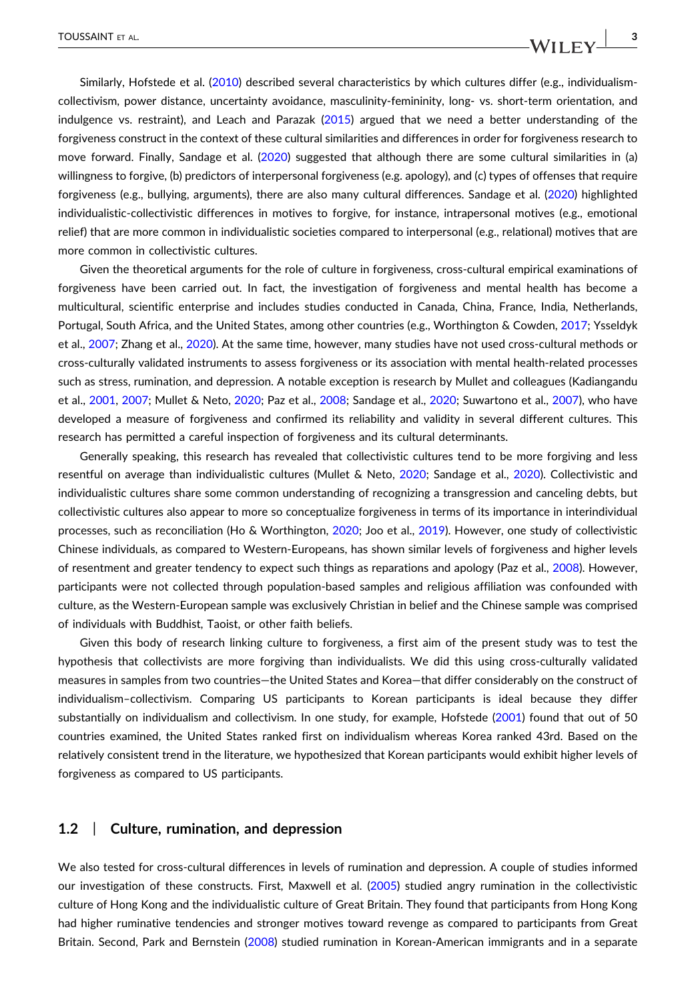Similarly, Hofstede et al. ([2010](#page-12-12)) described several characteristics by which cultures differ (e.g., individualismcollectivism, power distance, uncertainty avoidance, masculinity‐femininity, long‐ vs. short‐term orientation, and indulgence vs. restraint), and Leach and Parazak ([2015\)](#page-13-3) argued that we need a better understanding of the forgiveness construct in the context of these cultural similarities and differences in order for forgiveness research to move forward. Finally, Sandage et al. ([2020](#page-13-4)) suggested that although there are some cultural similarities in (a) willingness to forgive, (b) predictors of interpersonal forgiveness (e.g. apology), and (c) types of offenses that require forgiveness (e.g., bullying, arguments), there are also many cultural differences. Sandage et al. ([2020](#page-13-4)) highlighted individualistic‐collectivistic differences in motives to forgive, for instance, intrapersonal motives (e.g., emotional relief) that are more common in individualistic societies compared to interpersonal (e.g., relational) motives that are more common in collectivistic cultures.

Given the theoretical arguments for the role of culture in forgiveness, cross-cultural empirical examinations of forgiveness have been carried out. In fact, the investigation of forgiveness and mental health has become a multicultural, scientific enterprise and includes studies conducted in Canada, China, France, India, Netherlands, Portugal, South Africa, and the United States, among other countries (e.g., Worthington & Cowden, [2017](#page-14-3); Ysseldyk et al., [2007](#page-14-0); Zhang et al., [2020](#page-14-4)). At the same time, however, many studies have not used cross-cultural methods or cross‐culturally validated instruments to assess forgiveness or its association with mental health‐related processes such as stress, rumination, and depression. A notable exception is research by Mullet and colleagues (Kadiangandu et al., [2001,](#page-12-10) [2007](#page-12-11); Mullet & Neto, [2020;](#page-13-7) Paz et al., [2008](#page-13-2); Sandage et al., [2020;](#page-13-4) Suwartono et al., [2007](#page-14-2)), who have developed a measure of forgiveness and confirmed its reliability and validity in several different cultures. This research has permitted a careful inspection of forgiveness and its cultural determinants.

Generally speaking, this research has revealed that collectivistic cultures tend to be more forgiving and less resentful on average than individualistic cultures (Mullet & Neto, [2020;](#page-13-7) Sandage et al., [2020](#page-13-4)). Collectivistic and individualistic cultures share some common understanding of recognizing a transgression and canceling debts, but collectivistic cultures also appear to more so conceptualize forgiveness in terms of its importance in interindividual processes, such as reconciliation (Ho & Worthington, [2020](#page-12-13); Joo et al., [2019](#page-12-14)). However, one study of collectivistic Chinese individuals, as compared to Western‐Europeans, has shown similar levels of forgiveness and higher levels of resentment and greater tendency to expect such things as reparations and apology (Paz et al., [2008\)](#page-13-2). However, participants were not collected through population‐based samples and religious affiliation was confounded with culture, as the Western‐European sample was exclusively Christian in belief and the Chinese sample was comprised of individuals with Buddhist, Taoist, or other faith beliefs.

Given this body of research linking culture to forgiveness, a first aim of the present study was to test the hypothesis that collectivists are more forgiving than individualists. We did this using cross‐culturally validated measures in samples from two countries—the United States and Korea—that differ considerably on the construct of individualism–collectivism. Comparing US participants to Korean participants is ideal because they differ substantially on individualism and collectivism. In one study, for example, Hofstede [\(2001\)](#page-12-8) found that out of 50 countries examined, the United States ranked first on individualism whereas Korea ranked 43rd. Based on the relatively consistent trend in the literature, we hypothesized that Korean participants would exhibit higher levels of forgiveness as compared to US participants.

#### 1.2 | Culture, rumination, and depression

We also tested for cross‐cultural differences in levels of rumination and depression. A couple of studies informed our investigation of these constructs. First, Maxwell et al. ([2005\)](#page-13-8) studied angry rumination in the collectivistic culture of Hong Kong and the individualistic culture of Great Britain. They found that participants from Hong Kong had higher ruminative tendencies and stronger motives toward revenge as compared to participants from Great Britain. Second, Park and Bernstein ([2008](#page-13-9)) studied rumination in Korean‐American immigrants and in a separate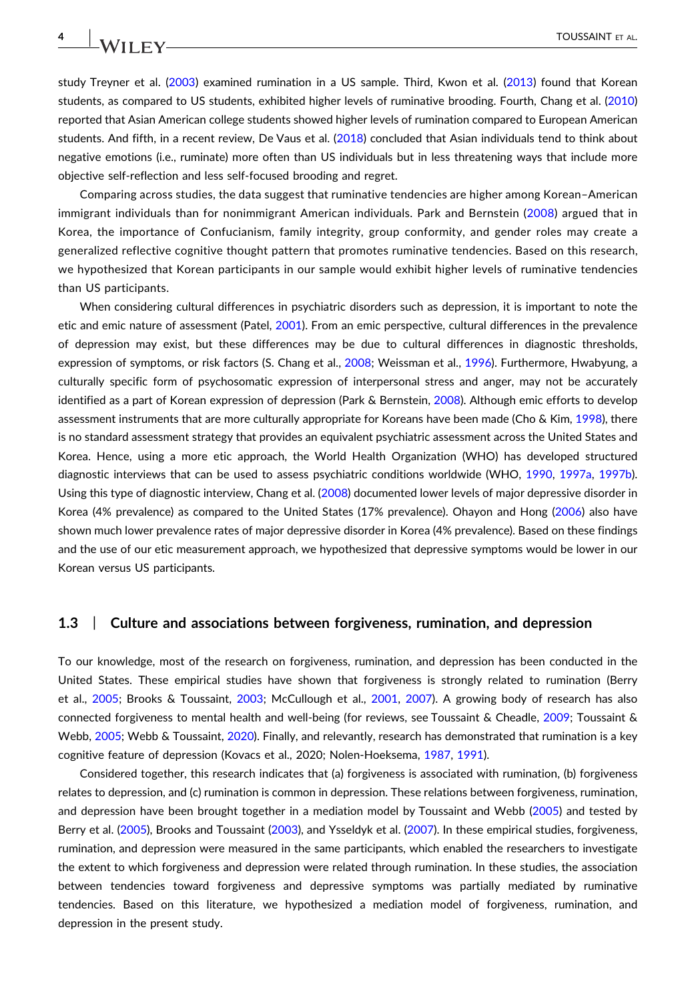study Treyner et al. ([2003](#page-14-5)) examined rumination in a US sample. Third, Kwon et al. ([2013](#page-12-15)) found that Korean students, as compared to US students, exhibited higher levels of ruminative brooding. Fourth, Chang et al. [\(2010](#page-12-16)) reported that Asian American college students showed higher levels of rumination compared to European American students. And fifth, in a recent review, De Vaus et al. ([2018](#page-14-6)) concluded that Asian individuals tend to think about negative emotions (i.e., ruminate) more often than US individuals but in less threatening ways that include more objective self‐reflection and less self‐focused brooding and regret.

Comparing across studies, the data suggest that ruminative tendencies are higher among Korean–American immigrant individuals than for nonimmigrant American individuals. Park and Bernstein ([2008](#page-13-9)) argued that in Korea, the importance of Confucianism, family integrity, group conformity, and gender roles may create a generalized reflective cognitive thought pattern that promotes ruminative tendencies. Based on this research, we hypothesized that Korean participants in our sample would exhibit higher levels of ruminative tendencies than US participants.

When considering cultural differences in psychiatric disorders such as depression, it is important to note the etic and emic nature of assessment (Patel, [2001](#page-13-10)). From an emic perspective, cultural differences in the prevalence of depression may exist, but these differences may be due to cultural differences in diagnostic thresholds, expression of symptoms, or risk factors (S. Chang et al., [2008;](#page-12-17) Weissman et al., [1996](#page-14-7)). Furthermore, Hwabyung, a culturally specific form of psychosomatic expression of interpersonal stress and anger, may not be accurately identified as a part of Korean expression of depression (Park & Bernstein, [2008\)](#page-13-9). Although emic efforts to develop assessment instruments that are more culturally appropriate for Koreans have been made (Cho & Kim, [1998](#page-12-18)), there is no standard assessment strategy that provides an equivalent psychiatric assessment across the United States and Korea. Hence, using a more etic approach, the World Health Organization (WHO) has developed structured diagnostic interviews that can be used to assess psychiatric conditions worldwide (WHO, [1990,](#page-14-8) [1997a](#page-14-9), [1997b](#page-14-10)). Using this type of diagnostic interview, Chang et al. ([2008](#page-12-17)) documented lower levels of major depressive disorder in Korea (4% prevalence) as compared to the United States (17% prevalence). Ohayon and Hong ([2006](#page-13-11)) also have shown much lower prevalence rates of major depressive disorder in Korea (4% prevalence). Based on these findings and the use of our etic measurement approach, we hypothesized that depressive symptoms would be lower in our Korean versus US participants.

#### 1.3 | Culture and associations between forgiveness, rumination, and depression

To our knowledge, most of the research on forgiveness, rumination, and depression has been conducted in the United States. These empirical studies have shown that forgiveness is strongly related to rumination (Berry et al., [2005;](#page-12-2) Brooks & Toussaint, [2003](#page-12-3); McCullough et al., [2001](#page-13-12), [2007](#page-13-0)). A growing body of research has also connected forgiveness to mental health and well-being (for reviews, see Toussaint & Cheadle, [2009](#page-14-11); Toussaint & Webb, [2005;](#page-14-1) Webb & Toussaint, [2020\)](#page-14-12). Finally, and relevantly, research has demonstrated that rumination is a key cognitive feature of depression (Kovacs et al., 2020; Nolen‐Hoeksema, [1987,](#page-13-13) [1991\)](#page-13-14).

Considered together, this research indicates that (a) forgiveness is associated with rumination, (b) forgiveness relates to depression, and (c) rumination is common in depression. These relations between forgiveness, rumination, and depression have been brought together in a mediation model by Toussaint and Webb ([2005](#page-14-1)) and tested by Berry et al. ([2005](#page-12-2)), Brooks and Toussaint [\(2003\)](#page-12-3), and Ysseldyk et al. ([2007](#page-14-0)). In these empirical studies, forgiveness, rumination, and depression were measured in the same participants, which enabled the researchers to investigate the extent to which forgiveness and depression were related through rumination. In these studies, the association between tendencies toward forgiveness and depressive symptoms was partially mediated by ruminative tendencies. Based on this literature, we hypothesized a mediation model of forgiveness, rumination, and depression in the present study.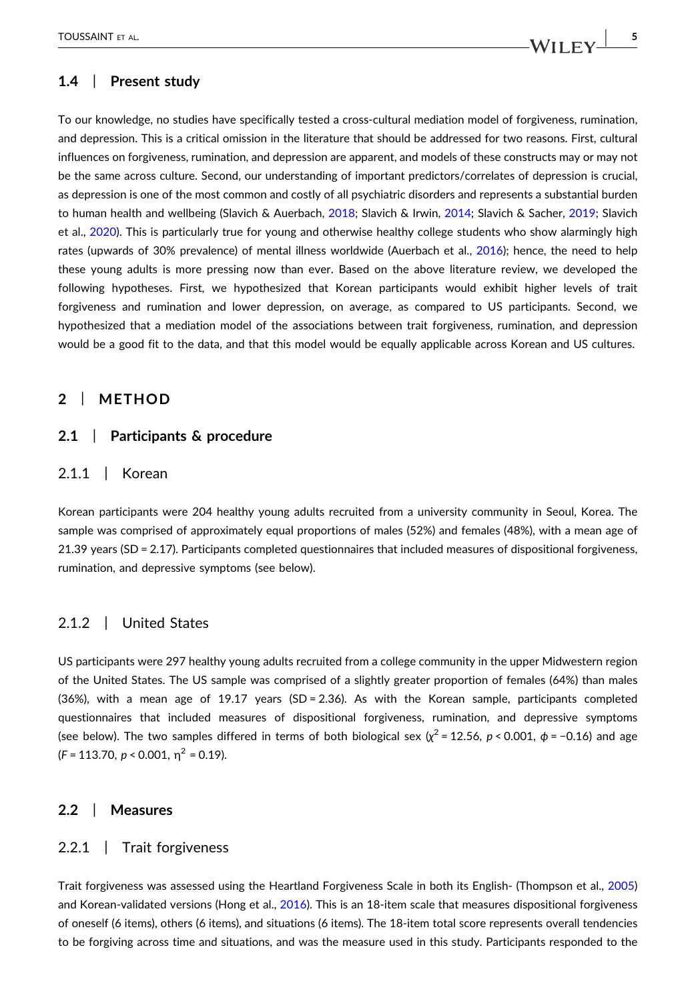# 1.4 | Present study

To our knowledge, no studies have specifically tested a cross‐cultural mediation model of forgiveness, rumination, and depression. This is a critical omission in the literature that should be addressed for two reasons. First, cultural influences on forgiveness, rumination, and depression are apparent, and models of these constructs may or may not be the same across culture. Second, our understanding of important predictors/correlates of depression is crucial, as depression is one of the most common and costly of all psychiatric disorders and represents a substantial burden to human health and wellbeing (Slavich & Auerbach, [2018](#page-13-15); Slavich & Irwin, [2014](#page-13-16); Slavich & Sacher, [2019;](#page-13-17) Slavich et al., [2020](#page-13-18)). This is particularly true for young and otherwise healthy college students who show alarmingly high rates (upwards of 30% prevalence) of mental illness worldwide (Auerbach et al., [2016](#page-11-0)); hence, the need to help these young adults is more pressing now than ever. Based on the above literature review, we developed the following hypotheses. First, we hypothesized that Korean participants would exhibit higher levels of trait forgiveness and rumination and lower depression, on average, as compared to US participants. Second, we hypothesized that a mediation model of the associations between trait forgiveness, rumination, and depression would be a good fit to the data, and that this model would be equally applicable across Korean and US cultures.

#### 2 | METHOD

#### 2.1 | Participants & procedure

# 2.1.1 | Korean

Korean participants were 204 healthy young adults recruited from a university community in Seoul, Korea. The sample was comprised of approximately equal proportions of males (52%) and females (48%), with a mean age of 21.39 years (SD = 2.17). Participants completed questionnaires that included measures of dispositional forgiveness, rumination, and depressive symptoms (see below).

# 2.1.2 | United States

US participants were 297 healthy young adults recruited from a college community in the upper Midwestern region of the United States. The US sample was comprised of a slightly greater proportion of females (64%) than males (36%), with a mean age of 19.17 years (SD = 2.36). As with the Korean sample, participants completed questionnaires that included measures of dispositional forgiveness, rumination, and depressive symptoms (see below). The two samples differed in terms of both biological sex ( $\chi^2$  = 12.56, p < 0.001,  $\phi$  = -0.16) and age  $(F = 113.70, p < 0.001, \eta^2 = 0.19)$ .

#### 2.2 | Measures

### 2.2.1 | Trait forgiveness

Trait forgiveness was assessed using the Heartland Forgiveness Scale in both its English‐ (Thompson et al., [2005](#page-14-13)) and Korean-validated versions (Hong et al., [2016\)](#page-12-19). This is an 18-item scale that measures dispositional forgiveness of oneself (6 items), others (6 items), and situations (6 items). The 18‐item total score represents overall tendencies to be forgiving across time and situations, and was the measure used in this study. Participants responded to the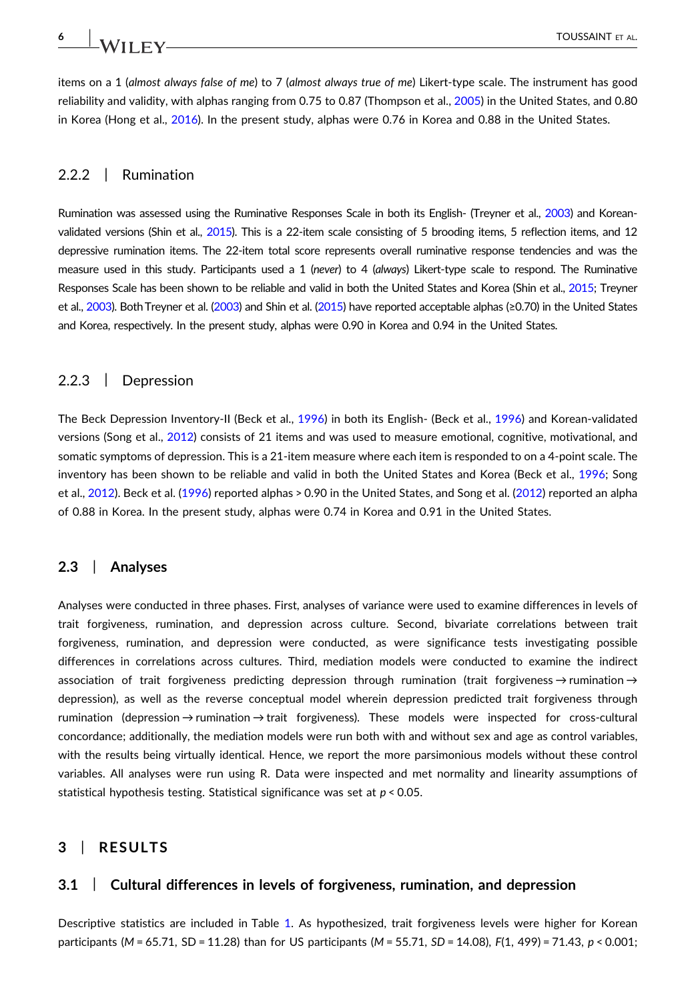items on a 1 (almost always false of me) to 7 (almost always true of me) Likert-type scale. The instrument has good reliability and validity, with alphas ranging from 0.75 to 0.87 (Thompson et al., [2005](#page-14-13)) in the United States, and 0.80 in Korea (Hong et al., [2016\)](#page-12-19). In the present study, alphas were 0.76 in Korea and 0.88 in the United States.

# 2.2.2 | Rumination

Rumination was assessed using the Ruminative Responses Scale in both its English‐ (Treyner et al., [2003](#page-14-5)) and Korean‐ validated versions (Shin et al., [2015\)](#page-13-19). This is a 22-item scale consisting of 5 brooding items, 5 reflection items, and 12 depressive rumination items. The 22‐item total score represents overall ruminative response tendencies and was the measure used in this study. Participants used a 1 (never) to 4 (always) Likert-type scale to respond. The Ruminative Responses Scale has been shown to be reliable and valid in both the United States and Korea (Shin et al., [2015;](#page-13-19) Treyner et al., [2003\)](#page-14-5). Both Treyner et al. [\(2003\)](#page-14-5) and Shin et al. [\(2015](#page-13-19)) have reported acceptable alphas (≥0.70) in the United States and Korea, respectively. In the present study, alphas were 0.90 in Korea and 0.94 in the United States.

# 2.2.3 | Depression

The Beck Depression Inventory‐II (Beck et al., [1996](#page-12-20)) in both its English‐ (Beck et al., [1996](#page-12-20)) and Korean‐validated versions (Song et al., [2012\)](#page-14-14) consists of 21 items and was used to measure emotional, cognitive, motivational, and somatic symptoms of depression. This is a 21-item measure where each item is responded to on a 4-point scale. The inventory has been shown to be reliable and valid in both the United States and Korea (Beck et al., [1996;](#page-12-20) Song et al., [2012\)](#page-14-14). Beck et al. ([1996](#page-12-20)) reported alphas > 0.90 in the United States, and Song et al. [\(2012\)](#page-14-14) reported an alpha of 0.88 in Korea. In the present study, alphas were 0.74 in Korea and 0.91 in the United States.

#### 2.3 | Analyses

Analyses were conducted in three phases. First, analyses of variance were used to examine differences in levels of trait forgiveness, rumination, and depression across culture. Second, bivariate correlations between trait forgiveness, rumination, and depression were conducted, as were significance tests investigating possible differences in correlations across cultures. Third, mediation models were conducted to examine the indirect association of trait forgiveness predicting depression through rumination (trait forgiveness → rumination → depression), as well as the reverse conceptual model wherein depression predicted trait forgiveness through rumination (depression → rumination → trait forgiveness). These models were inspected for cross‐cultural concordance; additionally, the mediation models were run both with and without sex and age as control variables, with the results being virtually identical. Hence, we report the more parsimonious models without these control variables. All analyses were run using R. Data were inspected and met normality and linearity assumptions of statistical hypothesis testing. Statistical significance was set at  $p < 0.05$ .

# 3 | RESULTS

#### 3.1 | Cultural differences in levels of forgiveness, rumination, and depression

Descriptive statistics are included in Table [1.](#page-6-0) As hypothesized, trait forgiveness levels were higher for Korean participants (M = 65.71, SD = 11.28) than for US participants (M = 55.71, SD = 14.08), F(1, 499) = 71.43, p < 0.001;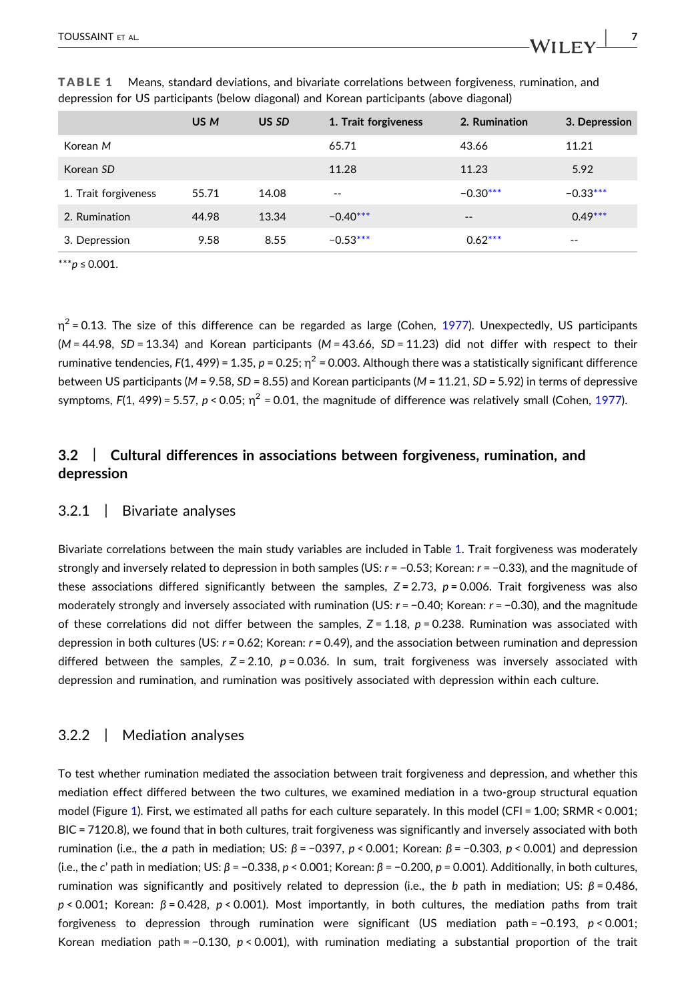|                      | US M  | US SD | 1. Trait forgiveness | 2. Rumination | 3. Depression |
|----------------------|-------|-------|----------------------|---------------|---------------|
| Korean M             |       |       | 65.71                | 43.66         | 11.21         |
| Korean SD            |       |       | 11.28                | 11.23         | 5.92          |
| 1. Trait forgiveness | 55.71 | 14.08 | $- -$                | $-0.30***$    | $-0.33***$    |
| 2. Rumination        | 44.98 | 13.34 | $-0.40***$           | $- -$         | $0.49***$     |
| 3. Depression        | 9.58  | 8.55  | $-0.53***$           | $0.62***$     | $\sim$ $-$    |
|                      |       |       |                      |               |               |

<span id="page-6-0"></span>TABLE 1 Means, standard deviations, and bivariate correlations between forgiveness, rumination, and depression for US participants (below diagonal) and Korean participants (above diagonal)

<span id="page-6-1"></span> $*_{p}$  ≤ 0.001.

 $\eta^2$  = 0.13. The size of this difference can be regarded as large (Cohen, [1977](#page-12-21)). Unexpectedly, US participants  $(M = 44.98, SD = 13.34)$  and Korean participants  $(M = 43.66, SD = 11.23)$  did not differ with respect to their ruminative tendencies, F(1, 499) = 1.35, p = 0.25;  $n^2$  = 0.003. Although there was a statistically significant difference between US participants (M = 9.58, SD = 8.55) and Korean participants (M = 11.21, SD = 5.92) in terms of depressive symptoms,  $F(1, 499) = 5.57$ ,  $p < 0.05$ ;  $n^2 = 0.01$ , the magnitude of difference was relatively small (Cohen, [1977](#page-12-21)).

# 3.2 | Cultural differences in associations between forgiveness, rumination, and depression

#### 3.2.1 | Bivariate analyses

Bivariate correlations between the main study variables are included in Table [1.](#page-6-0) Trait forgiveness was moderately strongly and inversely related to depression in both samples (US:  $r = -0.53$ ; Korean:  $r = -0.33$ ), and the magnitude of these associations differed significantly between the samples,  $Z = 2.73$ ,  $p = 0.006$ . Trait forgiveness was also moderately strongly and inversely associated with rumination (US: r = −0.40; Korean: r = −0.30), and the magnitude of these correlations did not differ between the samples,  $Z = 1.18$ ,  $p = 0.238$ . Rumination was associated with depression in both cultures (US:  $r = 0.62$ ; Korean:  $r = 0.49$ ), and the association between rumination and depression differed between the samples,  $Z = 2.10$ ,  $p = 0.036$ . In sum, trait forgiveness was inversely associated with depression and rumination, and rumination was positively associated with depression within each culture.

#### 3.2.2 | Mediation analyses

To test whether rumination mediated the association between trait forgiveness and depression, and whether this mediation effect differed between the two cultures, we examined mediation in a two‐group structural equation model (Figure [1\)](#page-7-0). First, we estimated all paths for each culture separately. In this model (CFI = 1.00; SRMR < 0.001; BIC = 7120.8), we found that in both cultures, trait forgiveness was significantly and inversely associated with both rumination (i.e., the *a* path in mediation; US:  $β = -0397$ ,  $p < 0.001$ ; Korean:  $β = -0.303$ ,  $p < 0.001$ ) and depression (i.e., the c' path in mediation; US:  $\beta$  = -0.338, p < 0.001; Korean:  $\beta$  = -0.200, p = 0.001). Additionally, in both cultures, rumination was significantly and positively related to depression (i.e., the b path in mediation; US: β = 0.486,  $p \lt 0.001$ : Korean:  $\beta = 0.428$ ,  $p \lt 0.001$ ). Most importantly, in both cultures, the mediation paths from trait forgiveness to depression through rumination were significant (US mediation path = −0.193, p < 0.001; Korean mediation path = −0.130,  $p < 0.001$ ), with rumination mediating a substantial proportion of the trait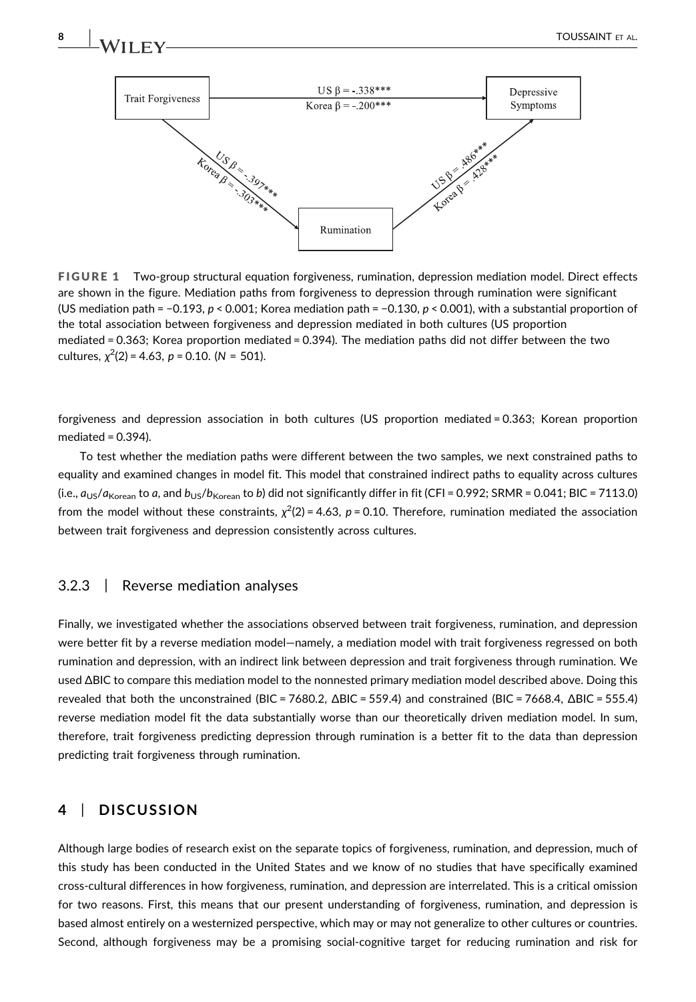<span id="page-7-0"></span>



mediated = 0.363; Korea proportion mediated = 0.394). The mediation paths did not differ between the two cultures,  $\chi^2(2)$  = 4.63, p = 0.10. (N = 501).

forgiveness and depression association in both cultures (US proportion mediated = 0.363; Korean proportion mediated = 0.394).

To test whether the mediation paths were different between the two samples, we next constrained paths to equality and examined changes in model fit. This model that constrained indirect paths to equality across cultures (i.e.,  $a_{US}/a_{Korean}$  to a, and  $b_{US}/b_{Korean}$  to b) did not significantly differ in fit (CFI = 0.992; SRMR = 0.041; BIC = 7113.0) from the model without these constraints,  $\chi^2(2)$  = 4.63, p = 0.10. Therefore, rumination mediated the association between trait forgiveness and depression consistently across cultures.

# 3.2.3 | Reverse mediation analyses

Finally, we investigated whether the associations observed between trait forgiveness, rumination, and depression were better fit by a reverse mediation model—namely, a mediation model with trait forgiveness regressed on both rumination and depression, with an indirect link between depression and trait forgiveness through rumination. We used ΔBIC to compare this mediation model to the nonnested primary mediation model described above. Doing this revealed that both the unconstrained (BIC = 7680.2, ΔBIC = 559.4) and constrained (BIC = 7668.4, ΔBIC = 555.4) reverse mediation model fit the data substantially worse than our theoretically driven mediation model. In sum, therefore, trait forgiveness predicting depression through rumination is a better fit to the data than depression predicting trait forgiveness through rumination.

# 4 | DISCUSSION

Although large bodies of research exist on the separate topics of forgiveness, rumination, and depression, much of this study has been conducted in the United States and we know of no studies that have specifically examined cross‐cultural differences in how forgiveness, rumination, and depression are interrelated. This is a critical omission for two reasons. First, this means that our present understanding of forgiveness, rumination, and depression is based almost entirely on a westernized perspective, which may or may not generalize to other cultures or countries. Second, although forgiveness may be a promising social‐cognitive target for reducing rumination and risk for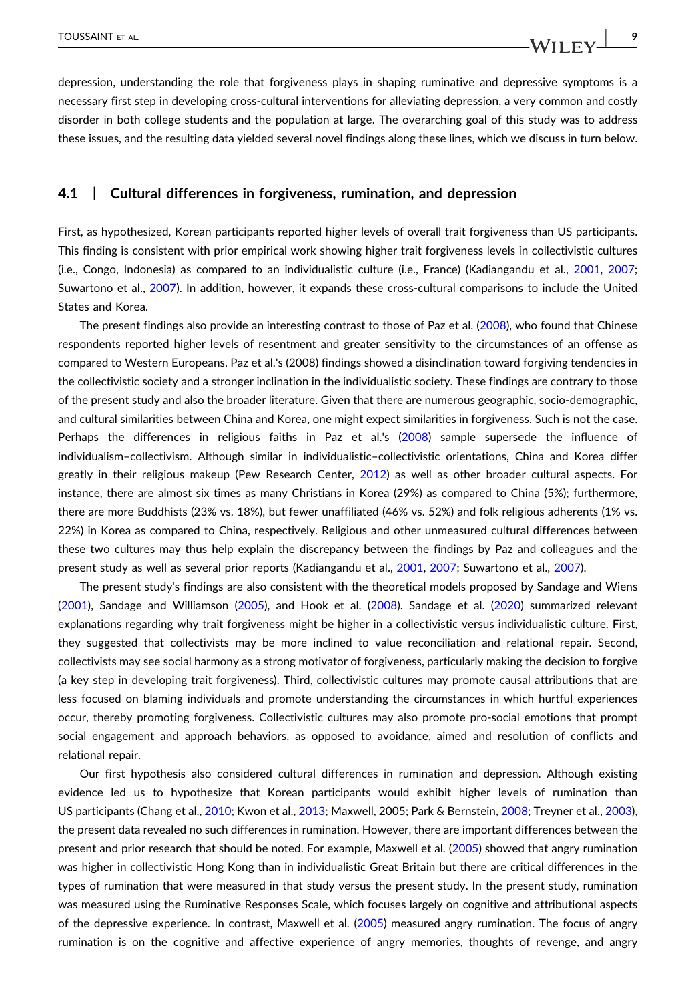depression, understanding the role that forgiveness plays in shaping ruminative and depressive symptoms is a necessary first step in developing cross-cultural interventions for alleviating depression, a very common and costly disorder in both college students and the population at large. The overarching goal of this study was to address these issues, and the resulting data yielded several novel findings along these lines, which we discuss in turn below.

#### 4.1 | Cultural differences in forgiveness, rumination, and depression

First, as hypothesized, Korean participants reported higher levels of overall trait forgiveness than US participants. This finding is consistent with prior empirical work showing higher trait forgiveness levels in collectivistic cultures (i.e., Congo, Indonesia) as compared to an individualistic culture (i.e., France) (Kadiangandu et al., [2001](#page-12-10), [2007](#page-12-11); Suwartono et al., [2007\)](#page-14-2). In addition, however, it expands these cross-cultural comparisons to include the United States and Korea.

The present findings also provide an interesting contrast to those of Paz et al. [\(2008\)](#page-13-2), who found that Chinese respondents reported higher levels of resentment and greater sensitivity to the circumstances of an offense as compared to Western Europeans. Paz et al.'s (2008) findings showed a disinclination toward forgiving tendencies in the collectivistic society and a stronger inclination in the individualistic society. These findings are contrary to those of the present study and also the broader literature. Given that there are numerous geographic, socio‐demographic, and cultural similarities between China and Korea, one might expect similarities in forgiveness. Such is not the case. Perhaps the differences in religious faiths in Paz et al.'s ([2008](#page-13-2)) sample supersede the influence of individualism–collectivism. Although similar in individualistic–collectivistic orientations, China and Korea differ greatly in their religious makeup (Pew Research Center, [2012](#page-13-20)) as well as other broader cultural aspects. For instance, there are almost six times as many Christians in Korea (29%) as compared to China (5%); furthermore, there are more Buddhists (23% vs. 18%), but fewer unaffiliated (46% vs. 52%) and folk religious adherents (1% vs. 22%) in Korea as compared to China, respectively. Religious and other unmeasured cultural differences between these two cultures may thus help explain the discrepancy between the findings by Paz and colleagues and the present study as well as several prior reports (Kadiangandu et al., [2001](#page-12-10), [2007](#page-12-11); Suwartono et al., [2007](#page-14-2)).

The present study's findings are also consistent with the theoretical models proposed by Sandage and Wiens ([2001](#page-13-5)), Sandage and Williamson ([2005](#page-13-6)), and Hook et al. [\(2008\)](#page-12-9). Sandage et al. [\(2020\)](#page-13-4) summarized relevant explanations regarding why trait forgiveness might be higher in a collectivistic versus individualistic culture. First, they suggested that collectivists may be more inclined to value reconciliation and relational repair. Second, collectivists may see social harmony as a strong motivator of forgiveness, particularly making the decision to forgive (a key step in developing trait forgiveness). Third, collectivistic cultures may promote causal attributions that are less focused on blaming individuals and promote understanding the circumstances in which hurtful experiences occur, thereby promoting forgiveness. Collectivistic cultures may also promote pro‐social emotions that prompt social engagement and approach behaviors, as opposed to avoidance, aimed and resolution of conflicts and relational repair.

Our first hypothesis also considered cultural differences in rumination and depression. Although existing evidence led us to hypothesize that Korean participants would exhibit higher levels of rumination than US participants (Chang et al., [2010](#page-12-16); Kwon et al., [2013;](#page-12-15) Maxwell, 2005; Park & Bernstein, [2008;](#page-13-9) Treyner et al., [2003](#page-14-5)), the present data revealed no such differences in rumination. However, there are important differences between the present and prior research that should be noted. For example, Maxwell et al. ([2005\)](#page-13-8) showed that angry rumination was higher in collectivistic Hong Kong than in individualistic Great Britain but there are critical differences in the types of rumination that were measured in that study versus the present study. In the present study, rumination was measured using the Ruminative Responses Scale, which focuses largely on cognitive and attributional aspects of the depressive experience. In contrast, Maxwell et al. ([2005](#page-13-8)) measured angry rumination. The focus of angry rumination is on the cognitive and affective experience of angry memories, thoughts of revenge, and angry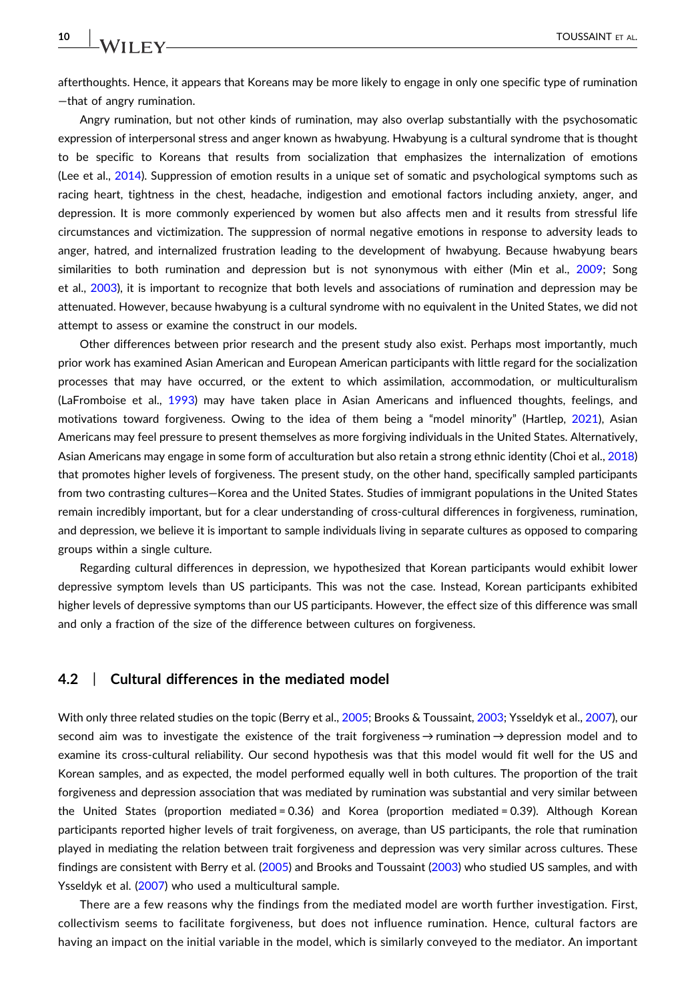afterthoughts. Hence, it appears that Koreans may be more likely to engage in only one specific type of rumination —that of angry rumination.

Angry rumination, but not other kinds of rumination, may also overlap substantially with the psychosomatic expression of interpersonal stress and anger known as hwabyung. Hwabyung is a cultural syndrome that is thought to be specific to Koreans that results from socialization that emphasizes the internalization of emotions (Lee et al., [2014](#page-13-21)). Suppression of emotion results in a unique set of somatic and psychological symptoms such as racing heart, tightness in the chest, headache, indigestion and emotional factors including anxiety, anger, and depression. It is more commonly experienced by women but also affects men and it results from stressful life circumstances and victimization. The suppression of normal negative emotions in response to adversity leads to anger, hatred, and internalized frustration leading to the development of hwabyung. Because hwabyung bears similarities to both rumination and depression but is not synonymous with either (Min et al., [2009;](#page-13-22) Song et al., [2003\)](#page-14-15), it is important to recognize that both levels and associations of rumination and depression may be attenuated. However, because hwabyung is a cultural syndrome with no equivalent in the United States, we did not attempt to assess or examine the construct in our models.

Other differences between prior research and the present study also exist. Perhaps most importantly, much prior work has examined Asian American and European American participants with little regard for the socialization processes that may have occurred, or the extent to which assimilation, accommodation, or multiculturalism (LaFromboise et al., [1993\)](#page-12-22) may have taken place in Asian Americans and influenced thoughts, feelings, and motivations toward forgiveness. Owing to the idea of them being a "model minority" (Hartlep, [2021\)](#page-12-23), Asian Americans may feel pressure to present themselves as more forgiving individuals in the United States. Alternatively, Asian Americans may engage in some form of acculturation but also retain a strong ethnic identity (Choi et al., [2018](#page-12-24)) that promotes higher levels of forgiveness. The present study, on the other hand, specifically sampled participants from two contrasting cultures—Korea and the United States. Studies of immigrant populations in the United States remain incredibly important, but for a clear understanding of cross-cultural differences in forgiveness, rumination, and depression, we believe it is important to sample individuals living in separate cultures as opposed to comparing groups within a single culture.

Regarding cultural differences in depression, we hypothesized that Korean participants would exhibit lower depressive symptom levels than US participants. This was not the case. Instead, Korean participants exhibited higher levels of depressive symptoms than our US participants. However, the effect size of this difference was small and only a fraction of the size of the difference between cultures on forgiveness.

#### 4.2 | Cultural differences in the mediated model

With only three related studies on the topic (Berry et al., [2005;](#page-12-2) Brooks & Toussaint, [2003;](#page-12-3) Ysseldyk et al., [2007](#page-14-0)), our second aim was to investigate the existence of the trait forgiveness → rumination → depression model and to examine its cross‐cultural reliability. Our second hypothesis was that this model would fit well for the US and Korean samples, and as expected, the model performed equally well in both cultures. The proportion of the trait forgiveness and depression association that was mediated by rumination was substantial and very similar between the United States (proportion mediated = 0.36) and Korea (proportion mediated = 0.39). Although Korean participants reported higher levels of trait forgiveness, on average, than US participants, the role that rumination played in mediating the relation between trait forgiveness and depression was very similar across cultures. These findings are consistent with Berry et al. ([2005](#page-12-2)) and Brooks and Toussaint ([2003](#page-12-3)) who studied US samples, and with Ysseldyk et al. [\(2007\)](#page-14-0) who used a multicultural sample.

There are a few reasons why the findings from the mediated model are worth further investigation. First, collectivism seems to facilitate forgiveness, but does not influence rumination. Hence, cultural factors are having an impact on the initial variable in the model, which is similarly conveyed to the mediator. An important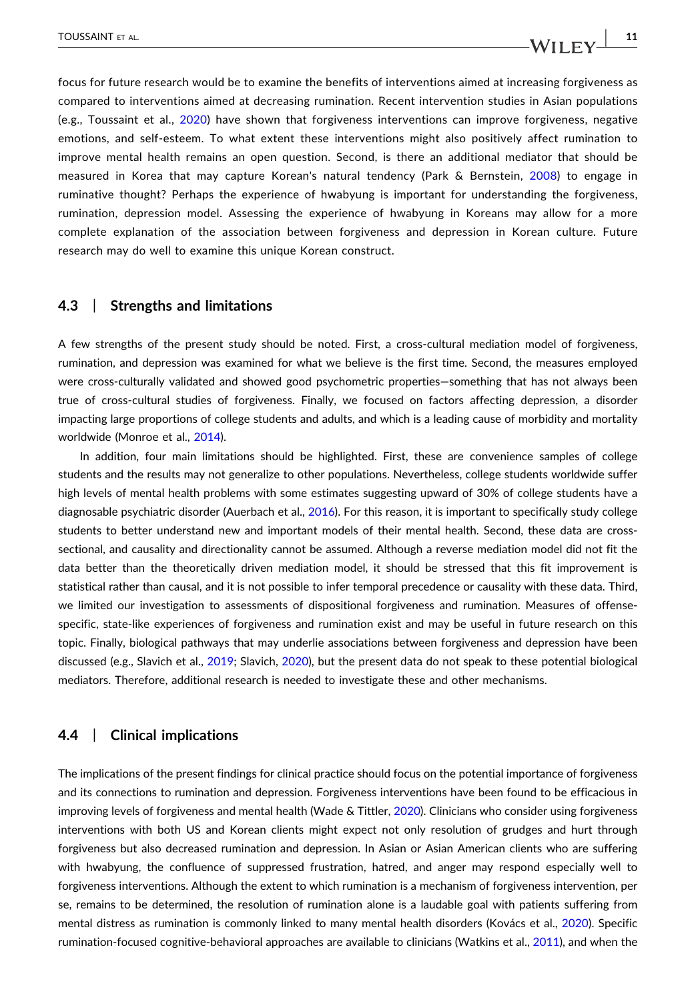focus for future research would be to examine the benefits of interventions aimed at increasing forgiveness as compared to interventions aimed at decreasing rumination. Recent intervention studies in Asian populations (e.g., Toussaint et al., [2020](#page-14-16)) have shown that forgiveness interventions can improve forgiveness, negative emotions, and self‐esteem. To what extent these interventions might also positively affect rumination to improve mental health remains an open question. Second, is there an additional mediator that should be

measured in Korea that may capture Korean's natural tendency (Park & Bernstein, [2008](#page-13-9)) to engage in ruminative thought? Perhaps the experience of hwabyung is important for understanding the forgiveness, rumination, depression model. Assessing the experience of hwabyung in Koreans may allow for a more complete explanation of the association between forgiveness and depression in Korean culture. Future research may do well to examine this unique Korean construct.

# 4.3 | Strengths and limitations

A few strengths of the present study should be noted. First, a cross-cultural mediation model of forgiveness, rumination, and depression was examined for what we believe is the first time. Second, the measures employed were cross-culturally validated and showed good psychometric properties-something that has not always been true of cross‐cultural studies of forgiveness. Finally, we focused on factors affecting depression, a disorder impacting large proportions of college students and adults, and which is a leading cause of morbidity and mortality worldwide (Monroe et al., [2014\)](#page-13-23).

In addition, four main limitations should be highlighted. First, these are convenience samples of college students and the results may not generalize to other populations. Nevertheless, college students worldwide suffer high levels of mental health problems with some estimates suggesting upward of 30% of college students have a diagnosable psychiatric disorder (Auerbach et al., [2016](#page-11-0)). For this reason, it is important to specifically study college students to better understand new and important models of their mental health. Second, these data are cross‐ sectional, and causality and directionality cannot be assumed. Although a reverse mediation model did not fit the data better than the theoretically driven mediation model, it should be stressed that this fit improvement is statistical rather than causal, and it is not possible to infer temporal precedence or causality with these data. Third, we limited our investigation to assessments of dispositional forgiveness and rumination. Measures of offensespecific, state-like experiences of forgiveness and rumination exist and may be useful in future research on this topic. Finally, biological pathways that may underlie associations between forgiveness and depression have been discussed (e.g., Slavich et al., [2019;](#page-14-17) Slavich, [2020\)](#page-13-24), but the present data do not speak to these potential biological mediators. Therefore, additional research is needed to investigate these and other mechanisms.

# 4.4 | Clinical implications

The implications of the present findings for clinical practice should focus on the potential importance of forgiveness and its connections to rumination and depression. Forgiveness interventions have been found to be efficacious in improving levels of forgiveness and mental health (Wade & Tittler, [2020\)](#page-14-18). Clinicians who consider using forgiveness interventions with both US and Korean clients might expect not only resolution of grudges and hurt through forgiveness but also decreased rumination and depression. In Asian or Asian American clients who are suffering with hwabyung, the confluence of suppressed frustration, hatred, and anger may respond especially well to forgiveness interventions. Although the extent to which rumination is a mechanism of forgiveness intervention, per se, remains to be determined, the resolution of rumination alone is a laudable goal with patients suffering from mental distress as rumination is commonly linked to many mental health disorders (Kovács et al., [2020](#page-12-1)). Specific rumination‐focused cognitive‐behavioral approaches are available to clinicians (Watkins et al., [2011\)](#page-14-19), and when the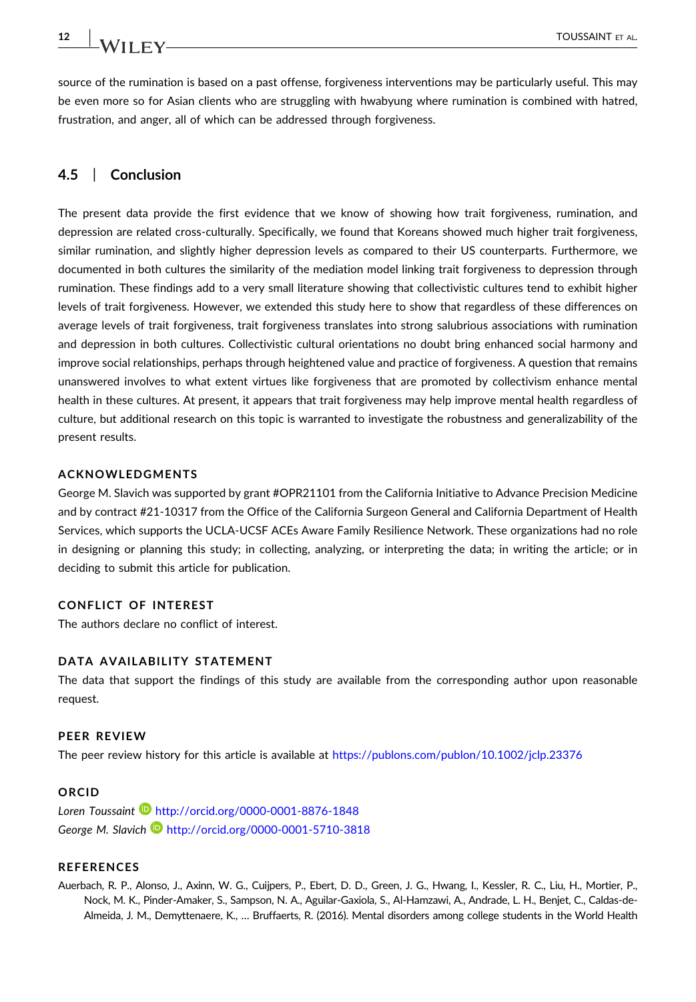source of the rumination is based on a past offense, forgiveness interventions may be particularly useful. This may be even more so for Asian clients who are struggling with hwabyung where rumination is combined with hatred, frustration, and anger, all of which can be addressed through forgiveness.

# 4.5 | Conclusion

The present data provide the first evidence that we know of showing how trait forgiveness, rumination, and depression are related cross‐culturally. Specifically, we found that Koreans showed much higher trait forgiveness, similar rumination, and slightly higher depression levels as compared to their US counterparts. Furthermore, we documented in both cultures the similarity of the mediation model linking trait forgiveness to depression through rumination. These findings add to a very small literature showing that collectivistic cultures tend to exhibit higher levels of trait forgiveness. However, we extended this study here to show that regardless of these differences on average levels of trait forgiveness, trait forgiveness translates into strong salubrious associations with rumination and depression in both cultures. Collectivistic cultural orientations no doubt bring enhanced social harmony and improve social relationships, perhaps through heightened value and practice of forgiveness. A question that remains unanswered involves to what extent virtues like forgiveness that are promoted by collectivism enhance mental health in these cultures. At present, it appears that trait forgiveness may help improve mental health regardless of culture, but additional research on this topic is warranted to investigate the robustness and generalizability of the present results.

#### ACKNOWLEDGMENTS

George M. Slavich was supported by grant #OPR21101 from the California Initiative to Advance Precision Medicine and by contract #21‐10317 from the Office of the California Surgeon General and California Department of Health Services, which supports the UCLA‐UCSF ACEs Aware Family Resilience Network. These organizations had no role in designing or planning this study; in collecting, analyzing, or interpreting the data; in writing the article; or in deciding to submit this article for publication.

#### CONFLICT OF INTEREST

The authors declare no conflict of interest.

#### DATA AVAILABILITY STATEMENT

The data that support the findings of this study are available from the corresponding author upon reasonable request.

#### PEER REVIEW

The peer review history for this article is available at <https://publons.com/publon/10.1002/jclp.23376>

#### ORCID

Loren Toussaint <http://orcid.org/0000-0001-8876-1848> George M. Slavich **b** <http://orcid.org/0000-0001-5710-3818>

#### REFERENCES

<span id="page-11-0"></span>Auerbach, R. P., Alonso, J., Axinn, W. G., Cuijpers, P., Ebert, D. D., Green, J. G., Hwang, I., Kessler, R. C., Liu, H., Mortier, P., Nock, M. K., Pinder‐Amaker, S., Sampson, N. A., Aguilar‐Gaxiola, S., Al‐Hamzawi, A., Andrade, L. H., Benjet, C., Caldas‐de‐ Almeida, J. M., Demyttenaere, K., … Bruffaerts, R. (2016). Mental disorders among college students in the World Health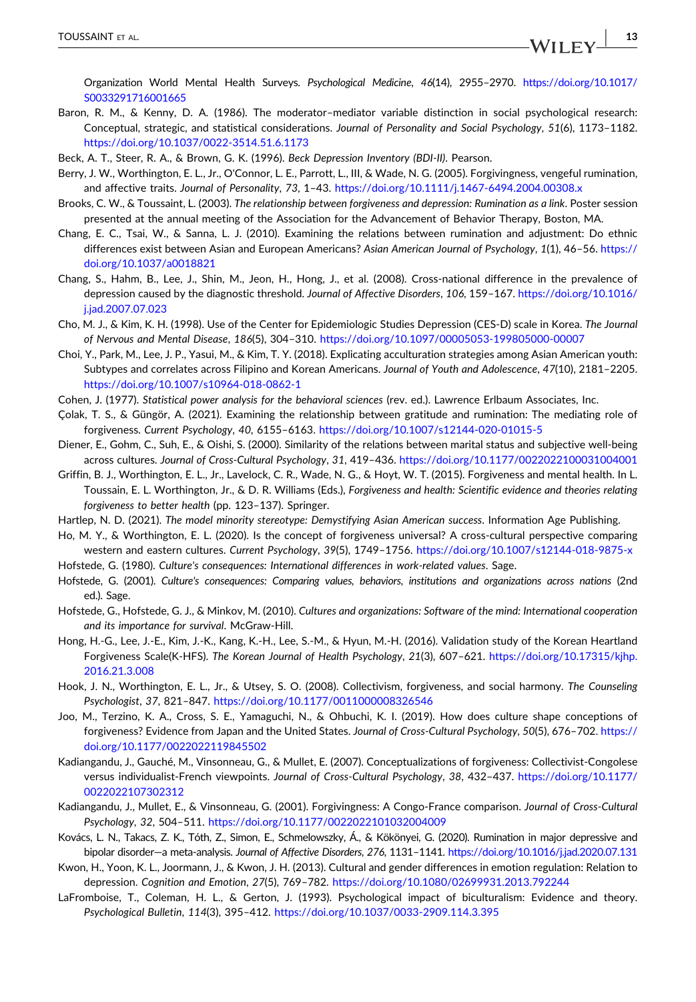Organization World Mental Health Surveys. Psychological Medicine, 46(14), 2955–2970. [https://doi.org/10.1017/](https://doi.org/10.1017/S0033291716001665) [S0033291716001665](https://doi.org/10.1017/S0033291716001665)

- <span id="page-12-5"></span>Baron, R. M., & Kenny, D. A. (1986). The moderator–mediator variable distinction in social psychological research: Conceptual, strategic, and statistical considerations. Journal of Personality and Social Psychology, 51(6), 1173–1182. <https://doi.org/10.1037/0022-3514.51.6.1173>
- <span id="page-12-20"></span>Beck, A. T., Steer, R. A., & Brown, G. K. (1996). Beck Depression Inventory (BDI-II). Pearson.
- <span id="page-12-2"></span>Berry, J. W., Worthington, E. L., Jr., O'Connor, L. E., Parrott, L., III, & Wade, N. G. (2005). Forgivingness, vengeful rumination, and affective traits. Journal of Personality, 73, 1-43. <https://doi.org/10.1111/j.1467-6494.2004.00308.x>
- <span id="page-12-3"></span>Brooks, C. W., & Toussaint, L. (2003). The relationship between forgiveness and depression: Rumination as a link. Poster session presented at the annual meeting of the Association for the Advancement of Behavior Therapy, Boston, MA.
- <span id="page-12-16"></span>Chang, E. C., Tsai, W., & Sanna, L. J. (2010). Examining the relations between rumination and adjustment: Do ethnic differences exist between Asian and European Americans? Asian American Journal of Psychology, 1(1), 46-56. [https://](https://doi.org/10.1037/a0018821) [doi.org/10.1037/a0018821](https://doi.org/10.1037/a0018821)
- <span id="page-12-17"></span>Chang, S., Hahm, B., Lee, J., Shin, M., Jeon, H., Hong, J., et al. (2008). Cross‐national difference in the prevalence of depression caused by the diagnostic threshold. Journal of Affective Disorders, 106, 159–167. [https://doi.org/10.1016/](https://doi.org/10.1016/j.jad.2007.07.023) [j.jad.2007.07.023](https://doi.org/10.1016/j.jad.2007.07.023)
- <span id="page-12-18"></span>Cho, M. J., & Kim, K. H. (1998). Use of the Center for Epidemiologic Studies Depression (CES‐D) scale in Korea. The Journal of Nervous and Mental Disease, 186(5), 304–310. <https://doi.org/10.1097/00005053-199805000-00007>
- <span id="page-12-24"></span>Choi, Y., Park, M., Lee, J. P., Yasui, M., & Kim, T. Y. (2018). Explicating acculturation strategies among Asian American youth: Subtypes and correlates across Filipino and Korean Americans. Journal of Youth and Adolescence, 47(10), 2181–2205. <https://doi.org/10.1007/s10964-018-0862-1>
- <span id="page-12-21"></span>Cohen, J. (1977). Statistical power analysis for the behavioral sciences (rev. ed.). Lawrence Erlbaum Associates, Inc.
- <span id="page-12-0"></span>Çolak, T. S., & Güngör, A. (2021). Examining the relationship between gratitude and rumination: The mediating role of forgiveness. Current Psychology, 40, 6155–6163. <https://doi.org/10.1007/s12144-020-01015-5>
- <span id="page-12-6"></span>Diener, E., Gohm, C., Suh, E., & Oishi, S. (2000). Similarity of the relations between marital status and subjective well‐being across cultures. Journal of Cross‐Cultural Psychology, 31, 419–436. <https://doi.org/10.1177/0022022100031004001>
- <span id="page-12-4"></span>Griffin, B. J., Worthington, E. L., Jr., Lavelock, C. R., Wade, N. G., & Hoyt, W. T. (2015). Forgiveness and mental health. In L. Toussain, E. L. Worthington, Jr., & D. R. Williams (Eds.), Forgiveness and health: Scientific evidence and theories relating forgiveness to better health (pp. 123–137). Springer.
- <span id="page-12-23"></span>Hartlep, N. D. (2021). The model minority stereotype: Demystifying Asian American success. Information Age Publishing.
- <span id="page-12-13"></span>Ho, M. Y., & Worthington, E. L. (2020). Is the concept of forgiveness universal? A cross-cultural perspective comparing western and eastern cultures. Current Psychology, 39(5), 1749–1756. <https://doi.org/10.1007/s12144-018-9875-x>
- <span id="page-12-7"></span>Hofstede, G. (1980). Culture's consequences: International differences in work‐related values. Sage.
- <span id="page-12-8"></span>Hofstede, G. (2001). Culture's consequences: Comparing values, behaviors, institutions and organizations across nations (2nd ed.). Sage.
- <span id="page-12-12"></span>Hofstede, G., Hofstede, G. J., & Minkov, M. (2010). Cultures and organizations: Software of the mind: International cooperation and its importance for survival. McGraw‐Hill.
- <span id="page-12-19"></span>Hong, H.‐G., Lee, J.‐E., Kim, J.‐K., Kang, K.‐H., Lee, S.‐M., & Hyun, M.‐H. (2016). Validation study of the Korean Heartland Forgiveness Scale(K‐HFS). The Korean Journal of Health Psychology, 21(3), 607–621. [https://doi.org/10.17315/kjhp.](https://doi.org/10.17315/kjhp.2016.21.3.008) [2016.21.3.008](https://doi.org/10.17315/kjhp.2016.21.3.008)
- <span id="page-12-9"></span>Hook, J. N., Worthington, E. L., Jr., & Utsey, S. O. (2008). Collectivism, forgiveness, and social harmony. The Counseling Psychologist, 37, 821–847. <https://doi.org/10.1177/0011000008326546>
- <span id="page-12-14"></span>Joo, M., Terzino, K. A., Cross, S. E., Yamaguchi, N., & Ohbuchi, K. I. (2019). How does culture shape conceptions of forgiveness? Evidence from Japan and the United States. Journal of Cross-Cultural Psychology, 50(5), 676-702. [https://](https://doi.org/10.1177/0022022119845502) [doi.org/10.1177/0022022119845502](https://doi.org/10.1177/0022022119845502)
- <span id="page-12-11"></span>Kadiangandu, J., Gauché, M., Vinsonneau, G., & Mullet, E. (2007). Conceptualizations of forgiveness: Collectivist‐Congolese versus individualist-French viewpoints. Journal of Cross-Cultural Psychology, 38, 432-437. [https://doi.org/10.1177/](https://doi.org/10.1177/0022022107302312) [0022022107302312](https://doi.org/10.1177/0022022107302312)
- <span id="page-12-10"></span>Kadiangandu, J., Mullet, E., & Vinsonneau, G. (2001). Forgivingness: A Congo‐France comparison. Journal of Cross‐Cultural Psychology, 32, 504–511. <https://doi.org/10.1177/0022022101032004009>
- <span id="page-12-1"></span>Kovács, L. N., Takacs, Z. K., Tóth, Z., Simon, E., Schmelowszky, Á., & Kökönyei, G. (2020). Rumination in major depressive and bipolar disorder—a meta‐analysis. Journal of Affective Disorders, 276, 1131–1141. <https://doi.org/10.1016/j.jad.2020.07.131>
- <span id="page-12-15"></span>Kwon, H., Yoon, K. L., Joormann, J., & Kwon, J. H. (2013). Cultural and gender differences in emotion regulation: Relation to depression. Cognition and Emotion, 27(5), 769–782. <https://doi.org/10.1080/02699931.2013.792244>
- <span id="page-12-22"></span>LaFromboise, T., Coleman, H. L., & Gerton, J. (1993). Psychological impact of biculturalism: Evidence and theory. Psychological Bulletin, 114(3), 395–412. <https://doi.org/10.1037/0033-2909.114.3.395>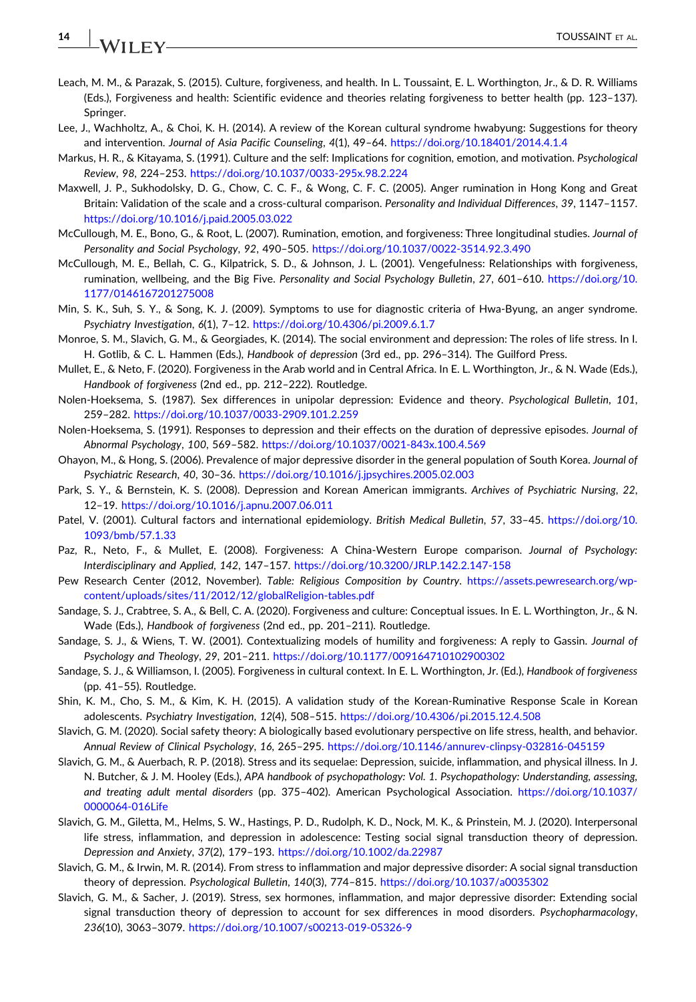# 14 | **IA**/LEEV

- <span id="page-13-3"></span>Leach, M. M., & Parazak, S. (2015). Culture, forgiveness, and health. In L. Toussaint, E. L. Worthington, Jr., & D. R. Williams (Eds.), Forgiveness and health: Scientific evidence and theories relating forgiveness to better health (pp. 123–137). Springer.
- <span id="page-13-21"></span>Lee, J., Wachholtz, A., & Choi, K. H. (2014). A review of the Korean cultural syndrome hwabyung: Suggestions for theory and intervention. Journal of Asia Pacific Counseling, 4(1), 49–64. <https://doi.org/10.18401/2014.4.1.4>
- <span id="page-13-1"></span>Markus, H. R., & Kitayama, S. (1991). Culture and the self: Implications for cognition, emotion, and motivation. Psychological Review, 98, 224–253. <https://doi.org/10.1037/0033-295x.98.2.224>
- <span id="page-13-8"></span>Maxwell, J. P., Sukhodolsky, D. G., Chow, C. C. F., & Wong, C. F. C. (2005). Anger rumination in Hong Kong and Great Britain: Validation of the scale and a cross-cultural comparison. Personality and Individual Differences, 39, 1147-1157. <https://doi.org/10.1016/j.paid.2005.03.022>
- <span id="page-13-0"></span>McCullough, M. E., Bono, G., & Root, L. (2007). Rumination, emotion, and forgiveness: Three longitudinal studies. Journal of Personality and Social Psychology, 92, 490–505. <https://doi.org/10.1037/0022-3514.92.3.490>
- <span id="page-13-12"></span>McCullough, M. E., Bellah, C. G., Kilpatrick, S. D., & Johnson, J. L. (2001). Vengefulness: Relationships with forgiveness, rumination, wellbeing, and the Big Five. Personality and Social Psychology Bulletin, 27, 601–610. [https://doi.org/10.](https://doi.org/10.1177/0146167201275008) [1177/0146167201275008](https://doi.org/10.1177/0146167201275008)
- <span id="page-13-22"></span>Min, S. K., Suh, S. Y., & Song, K. J. (2009). Symptoms to use for diagnostic criteria of Hwa‐Byung, an anger syndrome. Psychiatry Investigation, 6(1), 7–12. <https://doi.org/10.4306/pi.2009.6.1.7>
- <span id="page-13-23"></span>Monroe, S. M., Slavich, G. M., & Georgiades, K. (2014). The social environment and depression: The roles of life stress. In I. H. Gotlib, & C. L. Hammen (Eds.), Handbook of depression (3rd ed., pp. 296–314). The Guilford Press.
- <span id="page-13-7"></span>Mullet, E., & Neto, F. (2020). Forgiveness in the Arab world and in Central Africa. In E. L. Worthington, Jr., & N. Wade (Eds.), Handbook of forgiveness (2nd ed., pp. 212–222). Routledge.
- <span id="page-13-13"></span>Nolen‐Hoeksema, S. (1987). Sex differences in unipolar depression: Evidence and theory. Psychological Bulletin, 101, 259–282. <https://doi.org/10.1037/0033-2909.101.2.259>
- <span id="page-13-14"></span>Nolen-Hoeksema, S. (1991). Responses to depression and their effects on the duration of depressive episodes. Journal of Abnormal Psychology, 100, 569–582. <https://doi.org/10.1037/0021-843x.100.4.569>
- <span id="page-13-11"></span>Ohayon, M., & Hong, S. (2006). Prevalence of major depressive disorder in the general population of South Korea. Journal of Psychiatric Research, 40, 30–36. <https://doi.org/10.1016/j.jpsychires.2005.02.003>
- <span id="page-13-9"></span>Park, S. Y., & Bernstein, K. S. (2008). Depression and Korean American immigrants. Archives of Psychiatric Nursing, 22, 12–19. <https://doi.org/10.1016/j.apnu.2007.06.011>
- <span id="page-13-10"></span>Patel, V. (2001). Cultural factors and international epidemiology. British Medical Bulletin, 57, 33–45. [https://doi.org/10.](https://doi.org/10.1093/bmb/57.1.33) [1093/bmb/57.1.33](https://doi.org/10.1093/bmb/57.1.33)
- <span id="page-13-2"></span>Paz, R., Neto, F., & Mullet, E. (2008). Forgiveness: A China‐Western Europe comparison. Journal of Psychology: Interdisciplinary and Applied, 142, 147–157. <https://doi.org/10.3200/JRLP.142.2.147-158>
- <span id="page-13-20"></span>Pew Research Center (2012, November). Table: Religious Composition by Country. [https://assets.pewresearch.org/wp](https://assets.pewresearch.org/wp-content/uploads/sites/11/2012/12/globalReligion-tables.pdf)[content/uploads/sites/11/2012/12/globalReligion-tables.pdf](https://assets.pewresearch.org/wp-content/uploads/sites/11/2012/12/globalReligion-tables.pdf)
- <span id="page-13-4"></span>Sandage, S. J., Crabtree, S. A., & Bell, C. A. (2020). Forgiveness and culture: Conceptual issues. In E. L. Worthington, Jr., & N. Wade (Eds.), Handbook of forgiveness (2nd ed., pp. 201–211). Routledge.
- <span id="page-13-5"></span>Sandage, S. J., & Wiens, T. W. (2001). Contextualizing models of humility and forgiveness: A reply to Gassin. Journal of Psychology and Theology, 29, 201–211. <https://doi.org/10.1177/009164710102900302>
- <span id="page-13-6"></span>Sandage, S. J., & Williamson, I. (2005). Forgiveness in cultural context. In E. L. Worthington, Jr. (Ed.), Handbook of forgiveness (pp. 41–55). Routledge.
- <span id="page-13-19"></span>Shin, K. M., Cho, S. M., & Kim, K. H. (2015). A validation study of the Korean‐Ruminative Response Scale in Korean adolescents. Psychiatry Investigation, 12(4), 508–515. <https://doi.org/10.4306/pi.2015.12.4.508>
- <span id="page-13-24"></span>Slavich, G. M. (2020). Social safety theory: A biologically based evolutionary perspective on life stress, health, and behavior. Annual Review of Clinical Psychology, 16, 265–295. <https://doi.org/10.1146/annurev-clinpsy-032816-045159>
- <span id="page-13-15"></span>Slavich, G. M., & Auerbach, R. P. (2018). Stress and its sequelae: Depression, suicide, inflammation, and physical illness. In J. N. Butcher, & J. M. Hooley (Eds.), APA handbook of psychopathology: Vol. 1. Psychopathology: Understanding, assessing, and treating adult mental disorders (pp. 375–402). American Psychological Association. [https://doi.org/10.1037/](https://doi.org/10.1037/0000064-016Life) [0000064-016Life](https://doi.org/10.1037/0000064-016Life)
- <span id="page-13-18"></span>Slavich, G. M., Giletta, M., Helms, S. W., Hastings, P. D., Rudolph, K. D., Nock, M. K., & Prinstein, M. J. (2020). Interpersonal life stress, inflammation, and depression in adolescence: Testing social signal transduction theory of depression. Depression and Anxiety, 37(2), 179–193. <https://doi.org/10.1002/da.22987>
- <span id="page-13-16"></span>Slavich, G. M., & Irwin, M. R. (2014). From stress to inflammation and major depressive disorder: A social signal transduction theory of depression. Psychological Bulletin, 140(3), 774–815. <https://doi.org/10.1037/a0035302>
- <span id="page-13-17"></span>Slavich, G. M., & Sacher, J. (2019). Stress, sex hormones, inflammation, and major depressive disorder: Extending social signal transduction theory of depression to account for sex differences in mood disorders. Psychopharmacology, 236(10), 3063–3079. <https://doi.org/10.1007/s00213-019-05326-9>